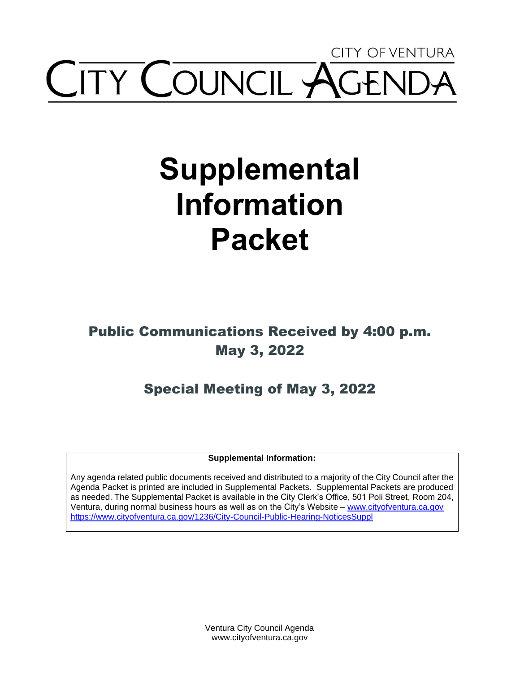## CITY OF VENTURA **ITY COUNCIL AGE**

# **Supplemental Information Packet**

## Public Communications Received by 4:00 p.m. May 3, 2022

## Special Meeting of May 3, 2022

**Supplemental Information:** 

Any agenda related public documents received and distributed to a majority of the City Council after the Agenda Packet is printed are included in Supplemental Packets. Supplemental Packets are produced as needed. The Supplemental Packet is available in the City Clerk's Office, 501 Poli Street, Room 204, Ventura, during normal business hours as well as on the City's Website – [www.cityofventura.ca.gov](http://www.cityofventura.ca.gov/)  <https://www.cityofventura.ca.gov/1236/City-Council-Public-Hearing-NoticesSuppl>

> Ventura City Council Agenda www.cityofventura.ca.gov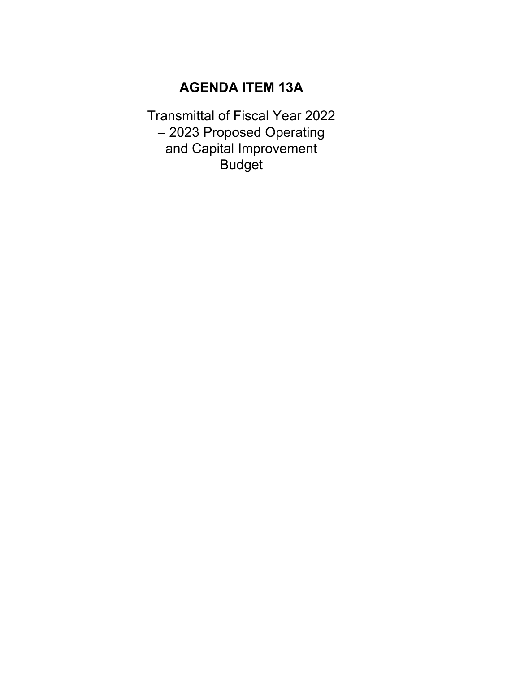### **AGENDA ITEM 13A**

Transmittal of Fiscal Year 2022 – 2023 Proposed Operating and Capital Improvement Budget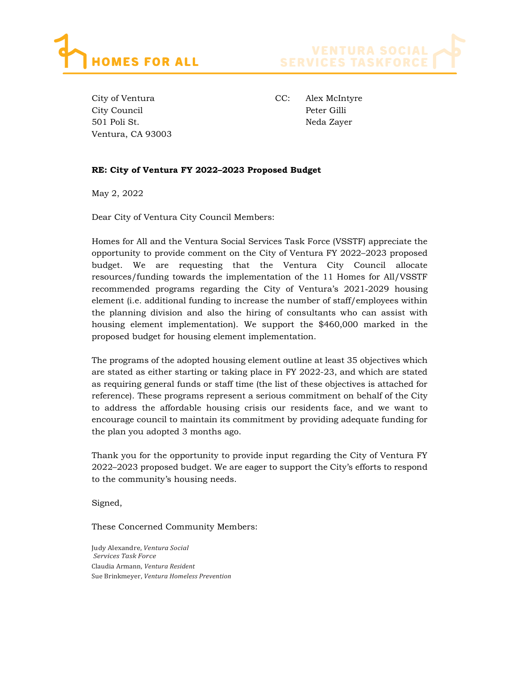



City of Ventura City Council 501 Poli St. Ventura, CA 93003 CC: Alex McIntyre Peter Gilli Neda Zayer

#### RE: City of Ventura FY 2022–2023 Proposed Budget

May 2, 2022

Dear City of Ventura City Council Members:

Homes for All and the Ventura Social Services Task Force (VSSTF) appreciate the opportunity to provide comment on the City of Ventura FY 2022–2023 proposed budget. We are requesting that the Ventura City Council allocate resources/funding towards the implementation of the 11 Homes for All/VSSTF recommended programs regarding the City of Ventura's 2021‐2029 housing element (i.e. additional funding to increase the number of staff/employees within the planning division and also the hiring of consultants who can assist with housing element implementation). We support the \$460,000 marked in the proposed budget for housing element implementation.

The programs of the adopted housing element outline at least 35 objectives which are stated as either starting or taking place in FY 2022-23, and which are stated as requiring general funds or staff time (the list of these objectives is attached for reference). These programs represent a serious commitment on behalf of the City to address the affordable housing crisis our residents face, and we want to encourage council to maintain its commitment by providing adequate funding for the plan you adopted 3 months ago.

Thank you for the opportunity to provide input regarding the City of Ventura FY 2022–2023 proposed budget. We are eager to support the City's efforts to respond to the community's housing needs.

Signed,

These Concerned Community Members:

Judy Alexandre, Ventura Social Services Task Force Claudia Armann, Ventura Resident Sue Brinkmeyer, Ventura Homeless Prevention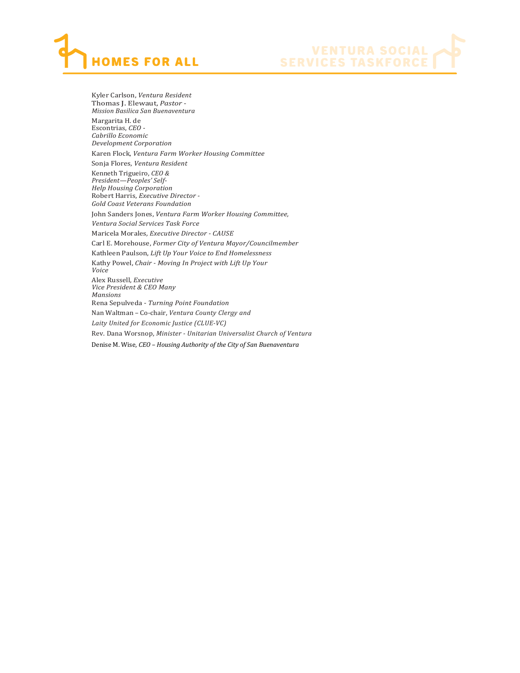



Kyler Carlson, Ventura Resident Thomas J. Elewaut, Pastor - Mission Basilica San Buenaventura Margarita H. de Escontrias, CEO - Cabrillo Economic Development Corporation Karen Flock, Ventura Farm Worker Housing Committee Sonja Flores, Ventura Resident Kenneth Trigueiro, CEO & President—Peoples' Self-Help Housing Corporation Robert Harris, Executive Director - Gold Coast Veterans Foundation John Sanders Jones, Ventura Farm Worker Housing Committee, Ventura Social Services Task Force Maricela Morales, Executive Director - CAUSE Carl E. Morehouse, Former City of Ventura Mayor/Councilmember Kathleen Paulson, Lift Up Your Voice to End Homelessness Kathy Powel, Chair - Moving In Project with Lift Up Your Voice Alex Russell, Executive Vice President & CEO Many Mansions Rena Sepulveda - Turning Point Foundation Nan Waltman – Co-chair, Ventura County Clergy and Laity United for Economic Justice (CLUE-VC) Rev. Dana Worsnop, Minister - Unitarian Universalist Church of Ventura Denise M. Wise, CEO – Housing Authority of the City of San Buenaventura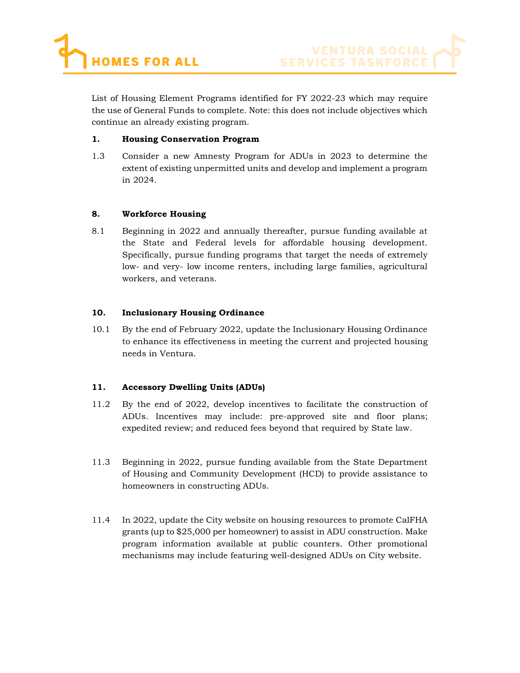

List of Housing Element Programs identified for FY 2022-23 which may require the use of General Funds to complete. Note: this does not include objectives which continue an already existing program.

#### 1. Housing Conservation Program

1.3 Consider a new Amnesty Program for ADUs in 2023 to determine the extent of existing unpermitted units and develop and implement a program in 2024.

#### 8. Workforce Housing

8.1 Beginning in 2022 and annually thereafter, pursue funding available at the State and Federal levels for affordable housing development. Specifically, pursue funding programs that target the needs of extremely low- and very- low income renters, including large families, agricultural workers, and veterans.

#### 10. Inclusionary Housing Ordinance

10.1 By the end of February 2022, update the Inclusionary Housing Ordinance to enhance its effectiveness in meeting the current and projected housing needs in Ventura.

#### 11. Accessory Dwelling Units (ADUs)

- 11.2 By the end of 2022, develop incentives to facilitate the construction of ADUs. Incentives may include: pre-approved site and floor plans; expedited review; and reduced fees beyond that required by State law.
- 11.3 Beginning in 2022, pursue funding available from the State Department of Housing and Community Development (HCD) to provide assistance to homeowners in constructing ADUs.
- 11.4 In 2022, update the City website on housing resources to promote CalFHA grants (up to \$25,000 per homeowner) to assist in ADU construction. Make program information available at public counters. Other promotional mechanisms may include featuring well-designed ADUs on City website.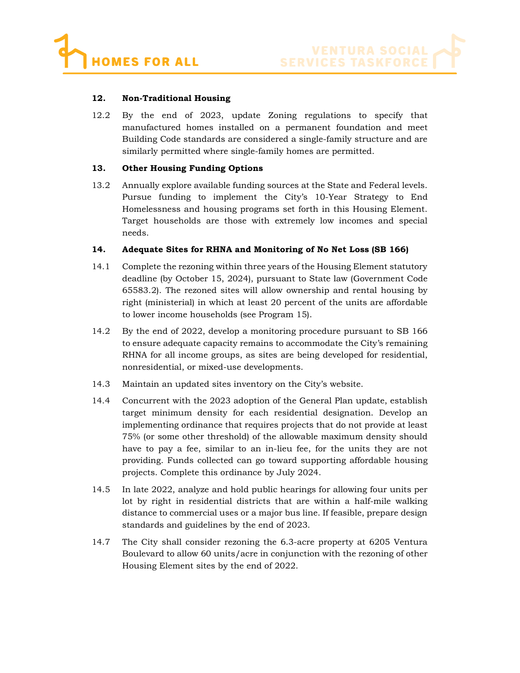#### 12. Non-Traditional Housing

12.2 By the end of 2023, update Zoning regulations to specify that manufactured homes installed on a permanent foundation and meet Building Code standards are considered a single-family structure and are similarly permitted where single-family homes are permitted.

#### 13. Other Housing Funding Options

13.2 Annually explore available funding sources at the State and Federal levels. Pursue funding to implement the City's 10-Year Strategy to End Homelessness and housing programs set forth in this Housing Element. Target households are those with extremely low incomes and special needs.

#### 14. Adequate Sites for RHNA and Monitoring of No Net Loss (SB 166)

- 14.1 Complete the rezoning within three years of the Housing Element statutory deadline (by October 15, 2024), pursuant to State law (Government Code 65583.2). The rezoned sites will allow ownership and rental housing by right (ministerial) in which at least 20 percent of the units are affordable to lower income households (see Program 15).
- 14.2 By the end of 2022, develop a monitoring procedure pursuant to SB 166 to ensure adequate capacity remains to accommodate the City's remaining RHNA for all income groups, as sites are being developed for residential, nonresidential, or mixed-use developments.
- 14.3 Maintain an updated sites inventory on the City's website.
- 14.4 Concurrent with the 2023 adoption of the General Plan update, establish target minimum density for each residential designation. Develop an implementing ordinance that requires projects that do not provide at least 75% (or some other threshold) of the allowable maximum density should have to pay a fee, similar to an in-lieu fee, for the units they are not providing. Funds collected can go toward supporting affordable housing projects. Complete this ordinance by July 2024.
- 14.5 In late 2022, analyze and hold public hearings for allowing four units per lot by right in residential districts that are within a half-mile walking distance to commercial uses or a major bus line. If feasible, prepare design standards and guidelines by the end of 2023.
- 14.7 The City shall consider rezoning the 6.3-acre property at 6205 Ventura Boulevard to allow 60 units/acre in conjunction with the rezoning of other Housing Element sites by the end of 2022.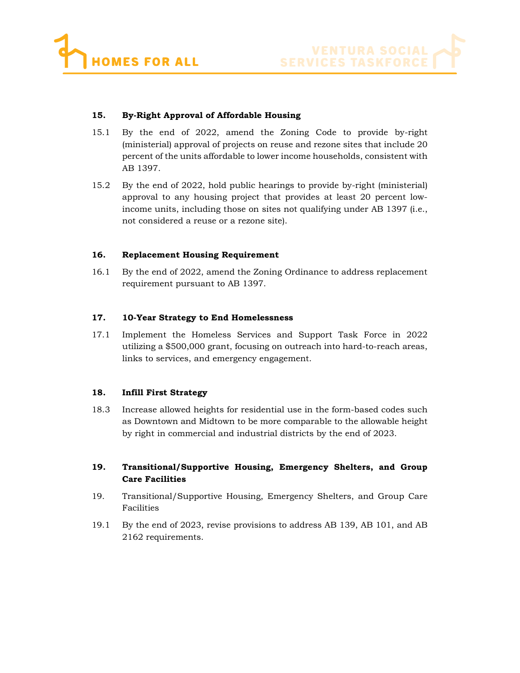



#### 15. By-Right Approval of Affordable Housing

- 15.1 By the end of 2022, amend the Zoning Code to provide by-right (ministerial) approval of projects on reuse and rezone sites that include 20 percent of the units affordable to lower income households, consistent with AB 1397.
- 15.2 By the end of 2022, hold public hearings to provide by-right (ministerial) approval to any housing project that provides at least 20 percent lowincome units, including those on sites not qualifying under AB 1397 (i.e., not considered a reuse or a rezone site).

#### 16. Replacement Housing Requirement

16.1 By the end of 2022, amend the Zoning Ordinance to address replacement requirement pursuant to AB 1397.

#### 17. 10-Year Strategy to End Homelessness

17.1 Implement the Homeless Services and Support Task Force in 2022 utilizing a \$500,000 grant, focusing on outreach into hard-to-reach areas, links to services, and emergency engagement.

#### 18. Infill First Strategy

18.3 Increase allowed heights for residential use in the form-based codes such as Downtown and Midtown to be more comparable to the allowable height by right in commercial and industrial districts by the end of 2023.

#### 19. Transitional/Supportive Housing, Emergency Shelters, and Group Care Facilities

- 19. Transitional/Supportive Housing, Emergency Shelters, and Group Care Facilities
- 19.1 By the end of 2023, revise provisions to address AB 139, AB 101, and AB 2162 requirements.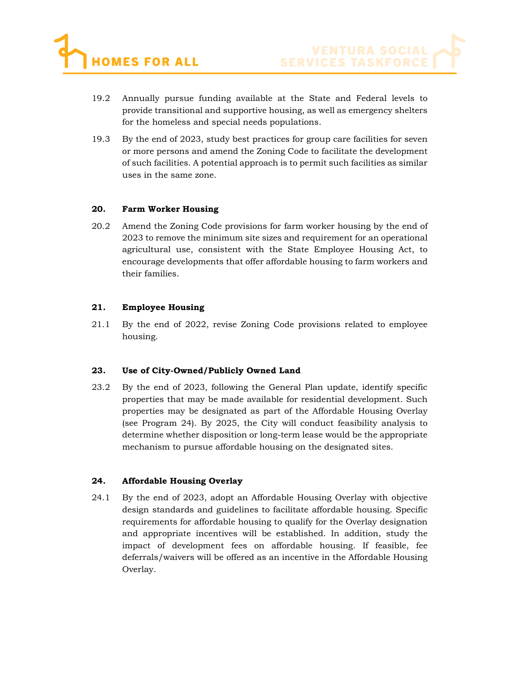- 19.2 Annually pursue funding available at the State and Federal levels to provide transitional and supportive housing, as well as emergency shelters for the homeless and special needs populations.
- 19.3 By the end of 2023, study best practices for group care facilities for seven or more persons and amend the Zoning Code to facilitate the development of such facilities. A potential approach is to permit such facilities as similar uses in the same zone.

#### 20. Farm Worker Housing

20.2 Amend the Zoning Code provisions for farm worker housing by the end of 2023 to remove the minimum site sizes and requirement for an operational agricultural use, consistent with the State Employee Housing Act, to encourage developments that offer affordable housing to farm workers and their families.

#### 21. Employee Housing

21.1 By the end of 2022, revise Zoning Code provisions related to employee housing.

#### 23. Use of City-Owned/Publicly Owned Land

23.2 By the end of 2023, following the General Plan update, identify specific properties that may be made available for residential development. Such properties may be designated as part of the Affordable Housing Overlay (see Program 24). By 2025, the City will conduct feasibility analysis to determine whether disposition or long-term lease would be the appropriate mechanism to pursue affordable housing on the designated sites.

#### 24. Affordable Housing Overlay

24.1 By the end of 2023, adopt an Affordable Housing Overlay with objective design standards and guidelines to facilitate affordable housing. Specific requirements for affordable housing to qualify for the Overlay designation and appropriate incentives will be established. In addition, study the impact of development fees on affordable housing. If feasible, fee deferrals/waivers will be offered as an incentive in the Affordable Housing Overlay.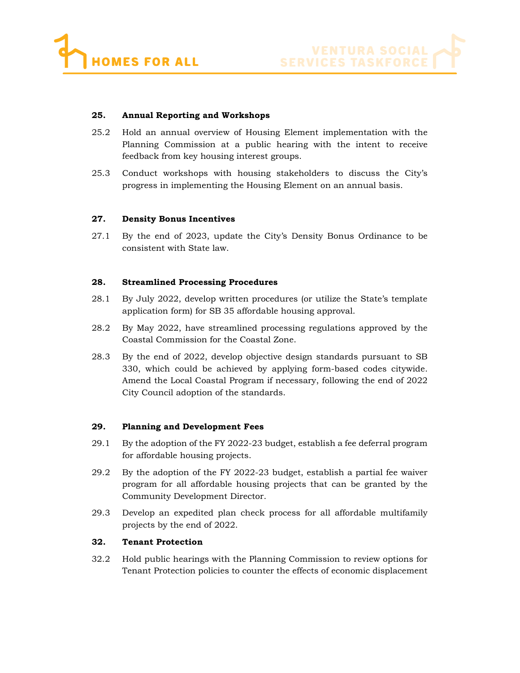



#### 25. Annual Reporting and Workshops

- 25.2 Hold an annual overview of Housing Element implementation with the Planning Commission at a public hearing with the intent to receive feedback from key housing interest groups.
- 25.3 Conduct workshops with housing stakeholders to discuss the City's progress in implementing the Housing Element on an annual basis.

#### 27. Density Bonus Incentives

27.1 By the end of 2023, update the City's Density Bonus Ordinance to be consistent with State law.

#### 28. Streamlined Processing Procedures

- 28.1 By July 2022, develop written procedures (or utilize the State's template application form) for SB 35 affordable housing approval.
- 28.2 By May 2022, have streamlined processing regulations approved by the Coastal Commission for the Coastal Zone.
- 28.3 By the end of 2022, develop objective design standards pursuant to SB 330, which could be achieved by applying form-based codes citywide. Amend the Local Coastal Program if necessary, following the end of 2022 City Council adoption of the standards.

#### 29. Planning and Development Fees

- 29.1 By the adoption of the FY 2022-23 budget, establish a fee deferral program for affordable housing projects.
- 29.2 By the adoption of the FY 2022-23 budget, establish a partial fee waiver program for all affordable housing projects that can be granted by the Community Development Director.
- 29.3 Develop an expedited plan check process for all affordable multifamily projects by the end of 2022.

#### 32. Tenant Protection

32.2 Hold public hearings with the Planning Commission to review options for Tenant Protection policies to counter the effects of economic displacement